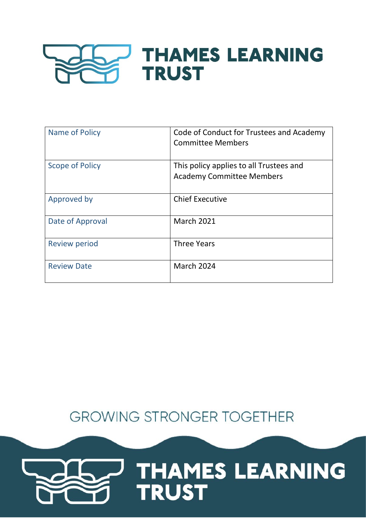

| Name of Policy         | Code of Conduct for Trustees and Academy<br><b>Committee Members</b>        |  |
|------------------------|-----------------------------------------------------------------------------|--|
| <b>Scope of Policy</b> | This policy applies to all Trustees and<br><b>Academy Committee Members</b> |  |
| Approved by            | <b>Chief Executive</b>                                                      |  |
| Date of Approval       | <b>March 2021</b>                                                           |  |
| <b>Review period</b>   | <b>Three Years</b>                                                          |  |
| <b>Review Date</b>     | <b>March 2024</b>                                                           |  |

# **GROWING STRONGER TOGETHER**

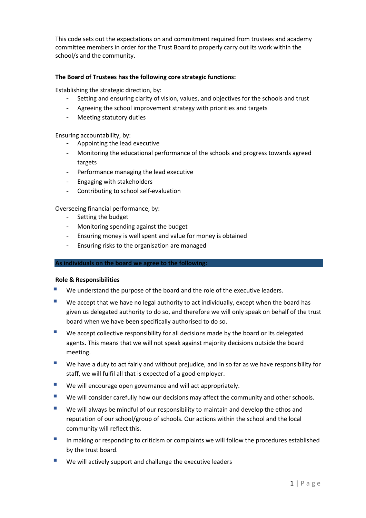This code sets out the expectations on and commitment required from trustees and academy committee members in order for the Trust Board to properly carry out its work within the school/s and the community.

## **The Board of Trustees has the following core strategic functions:**

Establishing the strategic direction, by:

- Setting and ensuring clarity of vision, values, and objectives for the schools and trust
- Agreeing the school improvement strategy with priorities and targets
- Meeting statutory duties

#### Ensuring accountability, by:

- Appointing the lead executive
- Monitoring the educational performance of the schools and progress towards agreed targets
- Performance managing the lead executive
- Engaging with stakeholders
- Contributing to school self-evaluation

Overseeing financial performance, by:

- Setting the budget
- Monitoring spending against the budget
- Ensuring money is well spent and value for money is obtained
- Ensuring risks to the organisation are managed

#### **As individuals on the board we agree to the following:**

#### **Role & Responsibilities**

- We understand the purpose of the board and the role of the executive leaders.
- $\blacksquare$  We accept that we have no legal authority to act individually, except when the board has given us delegated authority to do so, and therefore we will only speak on behalf of the trust board when we have been specifically authorised to do so.
- $\blacksquare$  We accept collective responsibility for all decisions made by the board or its delegated agents. This means that we will not speak against majority decisions outside the board meeting.
- We have a duty to act fairly and without prejudice, and in so far as we have responsibility for staff, we will fulfil all that is expected of a good employer.
- We will encourage open governance and will act appropriately.
- We will consider carefully how our decisions may affect the community and other schools.
- **We will always be mindful of our responsibility to maintain and develop the ethos and** reputation of our school/group of schools. Our actions within the school and the local community will reflect this.
- In making or responding to criticism or complaints we will follow the procedures established by the trust board.
- $\blacksquare$  We will actively support and challenge the executive leaders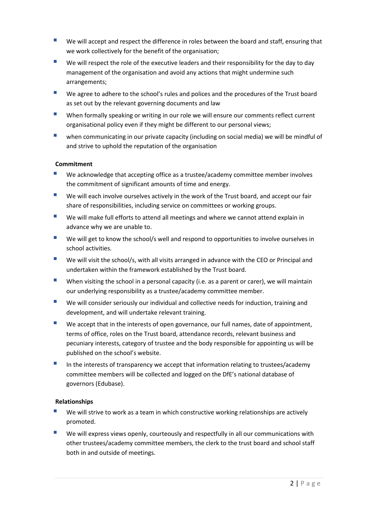- **UP** We will accept and respect the difference in roles between the board and staff, ensuring that we work collectively for the benefit of the organisation;
- $\blacksquare$  We will respect the role of the executive leaders and their responsibility for the day to day management of the organisation and avoid any actions that might undermine such arrangements;
- We agree to adhere to the school's rules and polices and the procedures of the Trust board as set out by the relevant governing documents and law
- When formally speaking or writing in our role we will ensure our comments reflect current organisational policy even if they might be different to our personal views;
- **u** when communicating in our private capacity (including on social media) we will be mindful of and strive to uphold the reputation of the organisation

## **Commitment**

- We acknowledge that accepting office as a trustee/academy committee member involves the commitment of significant amounts of time and energy.
- **U** We will each involve ourselves actively in the work of the Trust board, and accept our fair share of responsibilities, including service on committees or working groups.
- We will make full efforts to attend all meetings and where we cannot attend explain in advance why we are unable to.
- We will get to know the school/s well and respond to opportunities to involve ourselves in school activities.
- We will visit the school/s, with all visits arranged in advance with the CEO or Principal and undertaken within the framework established by the Trust board.
- When visiting the school in a personal capacity (i.e. as a parent or carer), we will maintain our underlying responsibility as a trustee/academy committee member.
- **We will consider seriously our individual and collective needs for induction, training and** development, and will undertake relevant training.
- We accept that in the interests of open governance, our full names, date of appointment, terms of office, roles on the Trust board, attendance records, relevant business and pecuniary interests, category of trustee and the body responsible for appointing us will be published on the school's website.
- In the interests of transparency we accept that information relating to trustees/academy committee members will be collected and logged on the DfE's national database of governors (Edubase).

## **Relationships**

- We will strive to work as a team in which constructive working relationships are actively promoted.
- We will express views openly, courteously and respectfully in all our communications with other trustees/academy committee members, the clerk to the trust board and school staff both in and outside of meetings.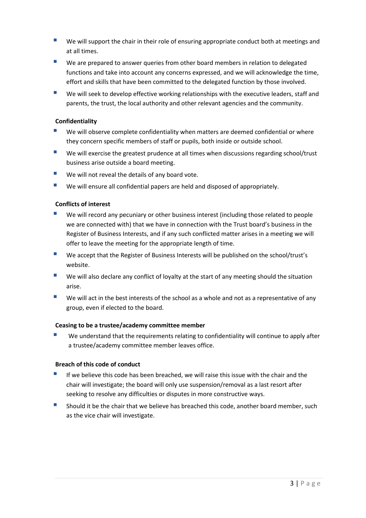- **UP** We will support the chair in their role of ensuring appropriate conduct both at meetings and at all times.
- We are prepared to answer queries from other board members in relation to delegated functions and take into account any concerns expressed, and we will acknowledge the time, effort and skills that have been committed to the delegated function by those involved.
- We will seek to develop effective working relationships with the executive leaders, staff and parents, the trust, the local authority and other relevant agencies and the community.

## **Confidentiality**

- We will observe complete confidentiality when matters are deemed confidential or where they concern specific members of staff or pupils, both inside or outside school.
- We will exercise the greatest prudence at all times when discussions regarding school/trust business arise outside a board meeting.
- $\blacksquare$  We will not reveal the details of any board vote.
- We will ensure all confidential papers are held and disposed of appropriately.

## **Conflicts of interest**

- We will record any pecuniary or other business interest (including those related to people we are connected with) that we have in connection with the Trust board's business in the Register of Business Interests, and if any such conflicted matter arises in a meeting we will offer to leave the meeting for the appropriate length of time.
- We accept that the Register of Business Interests will be published on the school/trust's website.
- We will also declare any conflict of loyalty at the start of any meeting should the situation arise.
- $\blacksquare$  We will act in the best interests of the school as a whole and not as a representative of any group, even if elected to the board.

## **Ceasing to be a trustee/academy committee member**

 We understand that the requirements relating to confidentiality will continue to apply after a trustee/academy committee member leaves office.

## **Breach of this code of conduct**

- If we believe this code has been breached, we will raise this issue with the chair and the chair will investigate; the board will only use suspension/removal as a last resort after seeking to resolve any difficulties or disputes in more constructive ways.
- **Should it be the chair that we believe has breached this code, another board member, such** as the vice chair will investigate.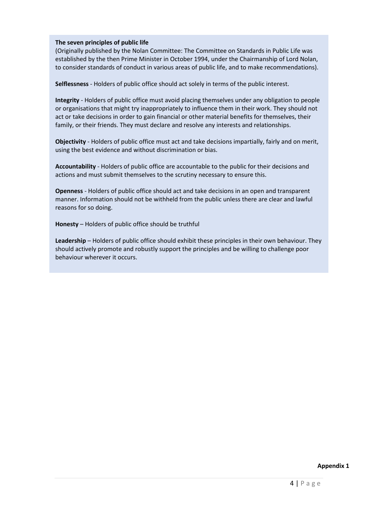#### **The seven principles of public life**

(Originally published by the Nolan Committee: The Committee on Standards in Public Life was established by the then Prime Minister in October 1994, under the Chairmanship of Lord Nolan, to consider standards of conduct in various areas of public life, and to make recommendations).

**Selflessness** - Holders of public office should act solely in terms of the public interest.

**Integrity** - Holders of public office must avoid placing themselves under any obligation to people or organisations that might try inappropriately to influence them in their work. They should not act or take decisions in order to gain financial or other material benefits for themselves, their family, or their friends. They must declare and resolve any interests and relationships.

**Objectivity** - Holders of public office must act and take decisions impartially, fairly and on merit, using the best evidence and without discrimination or bias.

**Accountability** - Holders of public office are accountable to the public for their decisions and actions and must submit themselves to the scrutiny necessary to ensure this.

**Openness** - Holders of public office should act and take decisions in an open and transparent manner. Information should not be withheld from the public unless there are clear and lawful reasons for so doing.

**Honesty** – Holders of public office should be truthful

**Leadership** – Holders of public office should exhibit these principles in their own behaviour. They should actively promote and robustly support the principles and be willing to challenge poor behaviour wherever it occurs.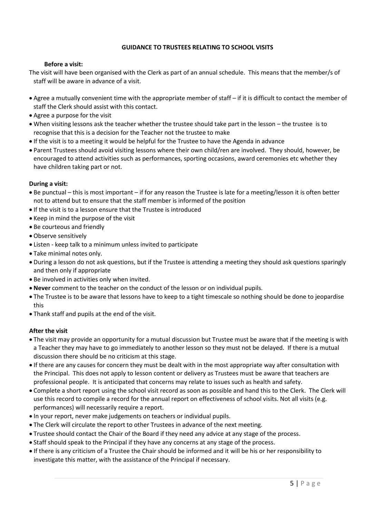#### **GUIDANCE TO TRUSTEES RELATING TO SCHOOL VISITS**

#### **Before a visit:**

The visit will have been organised with the Clerk as part of an annual schedule. This means that the member/s of staff will be aware in advance of a visit.

- Agree a mutually convenient time with the appropriate member of staff if it is difficult to contact the member of staff the Clerk should assist with this contact.
- Agree a purpose for the visit
- When visiting lessons ask the teacher whether the trustee should take part in the lesson the trustee is to recognise that this is a decision for the Teacher not the trustee to make
- If the visit is to a meeting it would be helpful for the Trustee to have the Agenda in advance
- Parent Trustees should avoid visiting lessons where their own child/ren are involved. They should, however, be encouraged to attend activities such as performances, sporting occasions, award ceremonies etc whether they have children taking part or not.

#### **During a visit:**

- Be punctual this is most important if for any reason the Trustee is late for a meeting/lesson it is often better not to attend but to ensure that the staff member is informed of the position
- If the visit is to a lesson ensure that the Trustee is introduced
- Keep in mind the purpose of the visit
- Be courteous and friendly
- Observe sensitively
- Listen keep talk to a minimum unless invited to participate
- Take minimal notes only.
- During a lesson do not ask questions, but if the Trustee is attending a meeting they should ask questions sparingly and then only if appropriate
- Be involved in activities only when invited.
- **Never** comment to the teacher on the conduct of the lesson or on individual pupils.
- The Trustee is to be aware that lessons have to keep to a tight timescale so nothing should be done to jeopardise this
- Thank staff and pupils at the end of the visit.

## **After the visit**

- The visit may provide an opportunity for a mutual discussion but Trustee must be aware that if the meeting is with a Teacher they may have to go immediately to another lesson so they must not be delayed. If there is a mutual discussion there should be no criticism at this stage.
- If there are any causes for concern they must be dealt with in the most appropriate way after consultation with the Principal. This does not apply to lesson content or delivery as Trustees must be aware that teachers are professional people. It is anticipated that concerns may relate to issues such as health and safety.
- Complete a short report using the school visit record as soon as possible and hand this to the Clerk. The Clerk will use this record to compile a record for the annual report on effectiveness of school visits. Not all visits (e.g. performances) will necessarily require a report.
- In your report, never make judgements on teachers or individual pupils.
- The Clerk will circulate the report to other Trustees in advance of the next meeting.
- Trustee should contact the Chair of the Board if they need any advice at any stage of the process.
- Staff should speak to the Principal if they have any concerns at any stage of the process.
- If there is any criticism of a Trustee the Chair should be informed and it will be his or her responsibility to investigate this matter, with the assistance of the Principal if necessary.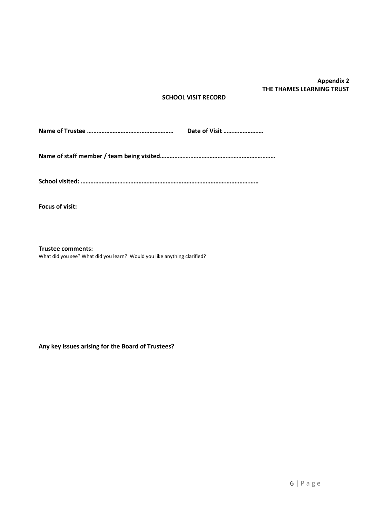# **Appendix 2 THE THAMES LEARNING TRUST**

#### **SCHOOL VISIT RECORD**

**Name of Trustee ……………………………………………… Date of Visit …………………….**

**Name of staff member / team being visited………………………………………………………………**

**School visited: …………………………………………………………………………………………………**

**Focus of visit:**

**Trustee comments:**

What did you see? What did you learn? Would you like anything clarified?

**Any key issues arising for the Board of Trustees?**